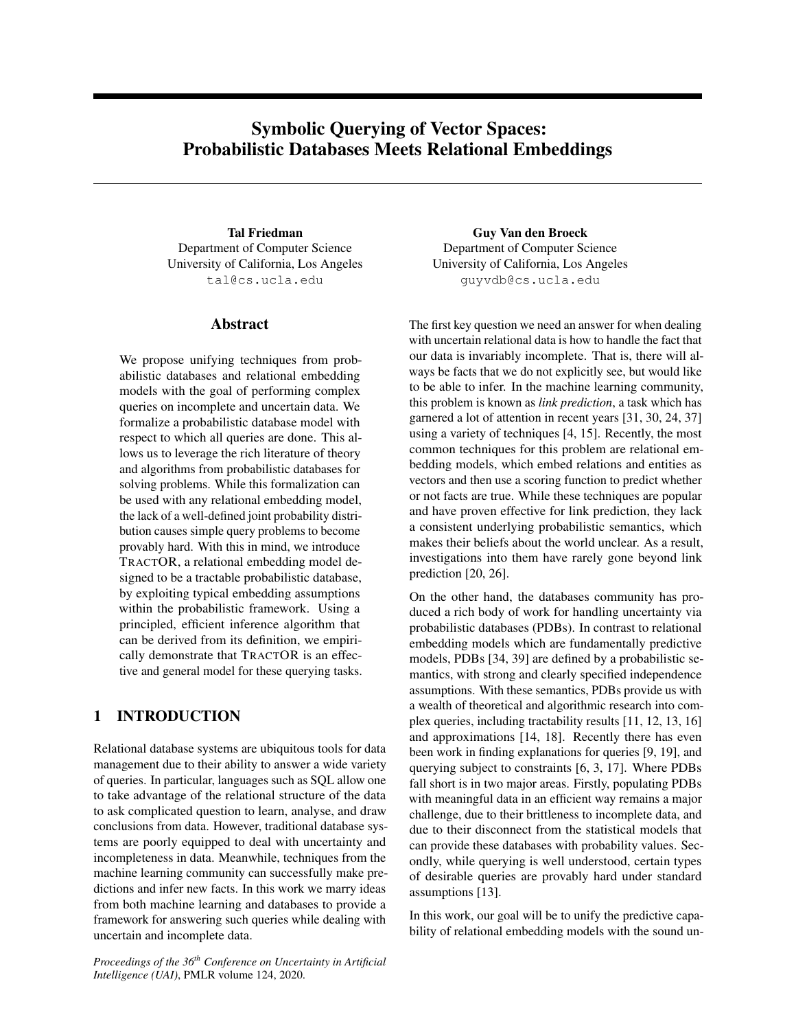# Symbolic Querying of Vector Spaces: Probabilistic Databases Meets Relational Embeddings

Tal Friedman Department of Computer Science University of California, Los Angeles tal@cs.ucla.edu

## Abstract

We propose unifying techniques from probabilistic databases and relational embedding models with the goal of performing complex queries on incomplete and uncertain data. We formalize a probabilistic database model with respect to which all queries are done. This allows us to leverage the rich literature of theory and algorithms from probabilistic databases for solving problems. While this formalization can be used with any relational embedding model, the lack of a well-defined joint probability distribution causes simple query problems to become provably hard. With this in mind, we introduce TRACTOR, a relational embedding model designed to be a tractable probabilistic database, by exploiting typical embedding assumptions within the probabilistic framework. Using a principled, efficient inference algorithm that can be derived from its definition, we empirically demonstrate that TRACTOR is an effective and general model for these querying tasks.

## 1 INTRODUCTION

Relational database systems are ubiquitous tools for data management due to their ability to answer a wide variety of queries. In particular, languages such as SQL allow one to take advantage of the relational structure of the data to ask complicated question to learn, analyse, and draw conclusions from data. However, traditional database systems are poorly equipped to deal with uncertainty and incompleteness in data. Meanwhile, techniques from the machine learning community can successfully make predictions and infer new facts. In this work we marry ideas from both machine learning and databases to provide a framework for answering such queries while dealing with uncertain and incomplete data.

*Proceedings of the 36th Conference on Uncertainty in Artificial Intelligence (UAI)*, PMLR volume 124, 2020.

Guy Van den Broeck Department of Computer Science University of California, Los Angeles guyvdb@cs.ucla.edu

The first key question we need an answer for when dealing with uncertain relational data is how to handle the fact that our data is invariably incomplete. That is, there will always be facts that we do not explicitly see, but would like to be able to infer. In the machine learning community, this problem is known as *link prediction*, a task which has garnered a lot of attention in recent years [31, 30, 24, 37] using a variety of techniques [4, 15]. Recently, the most common techniques for this problem are relational embedding models, which embed relations and entities as vectors and then use a scoring function to predict whether or not facts are true. While these techniques are popular and have proven effective for link prediction, they lack a consistent underlying probabilistic semantics, which makes their beliefs about the world unclear. As a result, investigations into them have rarely gone beyond link prediction [20, 26].

On the other hand, the databases community has produced a rich body of work for handling uncertainty via probabilistic databases (PDBs). In contrast to relational embedding models which are fundamentally predictive models, PDBs [34, 39] are defined by a probabilistic semantics, with strong and clearly specified independence assumptions. With these semantics, PDBs provide us with a wealth of theoretical and algorithmic research into complex queries, including tractability results [11, 12, 13, 16] and approximations [14, 18]. Recently there has even been work in finding explanations for queries [9, 19], and querying subject to constraints [6, 3, 17]. Where PDBs fall short is in two major areas. Firstly, populating PDBs with meaningful data in an efficient way remains a major challenge, due to their brittleness to incomplete data, and due to their disconnect from the statistical models that can provide these databases with probability values. Secondly, while querying is well understood, certain types of desirable queries are provably hard under standard assumptions [13].

In this work, our goal will be to unify the predictive capability of relational embedding models with the sound un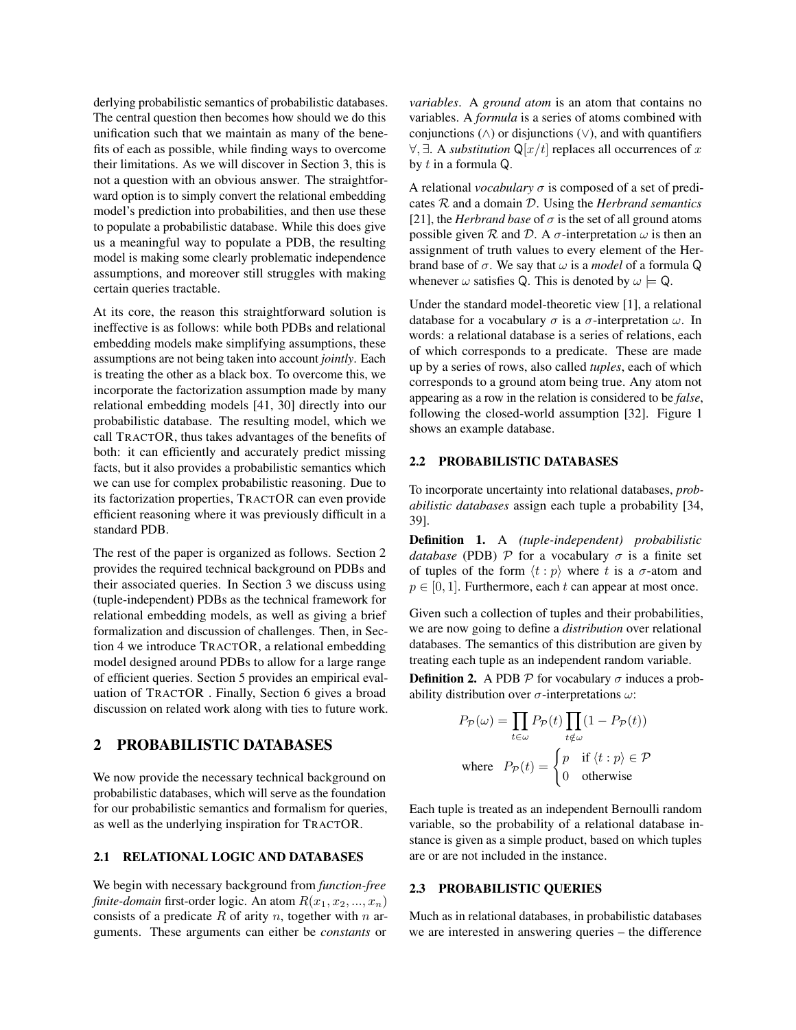derlying probabilistic semantics of probabilistic databases. The central question then becomes how should we do this unification such that we maintain as many of the benefits of each as possible, while finding ways to overcome their limitations. As we will discover in Section 3, this is not a question with an obvious answer. The straightforward option is to simply convert the relational embedding model's prediction into probabilities, and then use these to populate a probabilistic database. While this does give us a meaningful way to populate a PDB, the resulting model is making some clearly problematic independence assumptions, and moreover still struggles with making certain queries tractable.

At its core, the reason this straightforward solution is ineffective is as follows: while both PDBs and relational embedding models make simplifying assumptions, these assumptions are not being taken into account *jointly*. Each is treating the other as a black box. To overcome this, we incorporate the factorization assumption made by many relational embedding models [41, 30] directly into our probabilistic database. The resulting model, which we call TRACTOR, thus takes advantages of the benefits of both: it can efficiently and accurately predict missing facts, but it also provides a probabilistic semantics which we can use for complex probabilistic reasoning. Due to its factorization properties, TRACTOR can even provide efficient reasoning where it was previously difficult in a standard PDB.

The rest of the paper is organized as follows. Section 2 provides the required technical background on PDBs and their associated queries. In Section 3 we discuss using (tuple-independent) PDBs as the technical framework for relational embedding models, as well as giving a brief formalization and discussion of challenges. Then, in Section 4 we introduce TRACTOR, a relational embedding model designed around PDBs to allow for a large range of efficient queries. Section 5 provides an empirical evaluation of TRACTOR . Finally, Section 6 gives a broad discussion on related work along with ties to future work.

## 2 PROBABILISTIC DATABASES

We now provide the necessary technical background on probabilistic databases, which will serve as the foundation for our probabilistic semantics and formalism for queries, as well as the underlying inspiration for TRACTOR.

## 2.1 RELATIONAL LOGIC AND DATABASES

We begin with necessary background from *function-free finite-domain* first-order logic. An atom  $R(x_1, x_2, ..., x_n)$ consists of a predicate  $R$  of arity  $n$ , together with  $n$  arguments. These arguments can either be *constants* or *variables*. A *ground atom* is an atom that contains no variables. A *formula* is a series of atoms combined with conjunctions ( $\wedge$ ) or disjunctions ( $\vee$ ), and with quantifiers  $\forall$ ,  $\exists$ . A *substitution* Q[ $x/t$ ] replaces all occurrences of x by t in a formula Q.

A relational *vocabulary*  $\sigma$  is composed of a set of predicates R and a domain D. Using the *Herbrand semantics* [21], the *Herbrand base* of  $\sigma$  is the set of all ground atoms possible given  $R$  and  $D$ . A  $\sigma$ -interpretation  $\omega$  is then an assignment of truth values to every element of the Herbrand base of  $\sigma$ . We say that  $\omega$  is a *model* of a formula Q whenever  $\omega$  satisfies Q. This is denoted by  $\omega \models Q$ .

Under the standard model-theoretic view [1], a relational database for a vocabulary  $\sigma$  is a  $\sigma$ -interpretation  $\omega$ . In words: a relational database is a series of relations, each of which corresponds to a predicate. These are made up by a series of rows, also called *tuples*, each of which corresponds to a ground atom being true. Any atom not appearing as a row in the relation is considered to be *false*, following the closed-world assumption [32]. Figure 1 shows an example database.

## 2.2 PROBABILISTIC DATABASES

To incorporate uncertainty into relational databases, *probabilistic databases* assign each tuple a probability [34, 39].

Definition 1. A *(tuple-independent) probabilistic database* (PDB)  $P$  for a vocabulary  $\sigma$  is a finite set of tuples of the form  $\langle t : p \rangle$  where t is a  $\sigma$ -atom and  $p \in [0, 1]$ . Furthermore, each t can appear at most once.

Given such a collection of tuples and their probabilities, we are now going to define a *distribution* over relational databases. The semantics of this distribution are given by treating each tuple as an independent random variable.

**Definition 2.** A PDB  $P$  for vocabulary  $\sigma$  induces a probability distribution over  $\sigma$ -interpretations  $\omega$ :

$$
P_{\mathcal{P}}(\omega) = \prod_{t \in \omega} P_{\mathcal{P}}(t) \prod_{t \notin \omega} (1 - P_{\mathcal{P}}(t))
$$
  
where 
$$
P_{\mathcal{P}}(t) = \begin{cases} p & \text{if } \langle t : p \rangle \in \mathcal{P} \\ 0 & \text{otherwise} \end{cases}
$$

Each tuple is treated as an independent Bernoulli random variable, so the probability of a relational database instance is given as a simple product, based on which tuples are or are not included in the instance.

## 2.3 PROBABILISTIC QUERIES

Much as in relational databases, in probabilistic databases we are interested in answering queries – the difference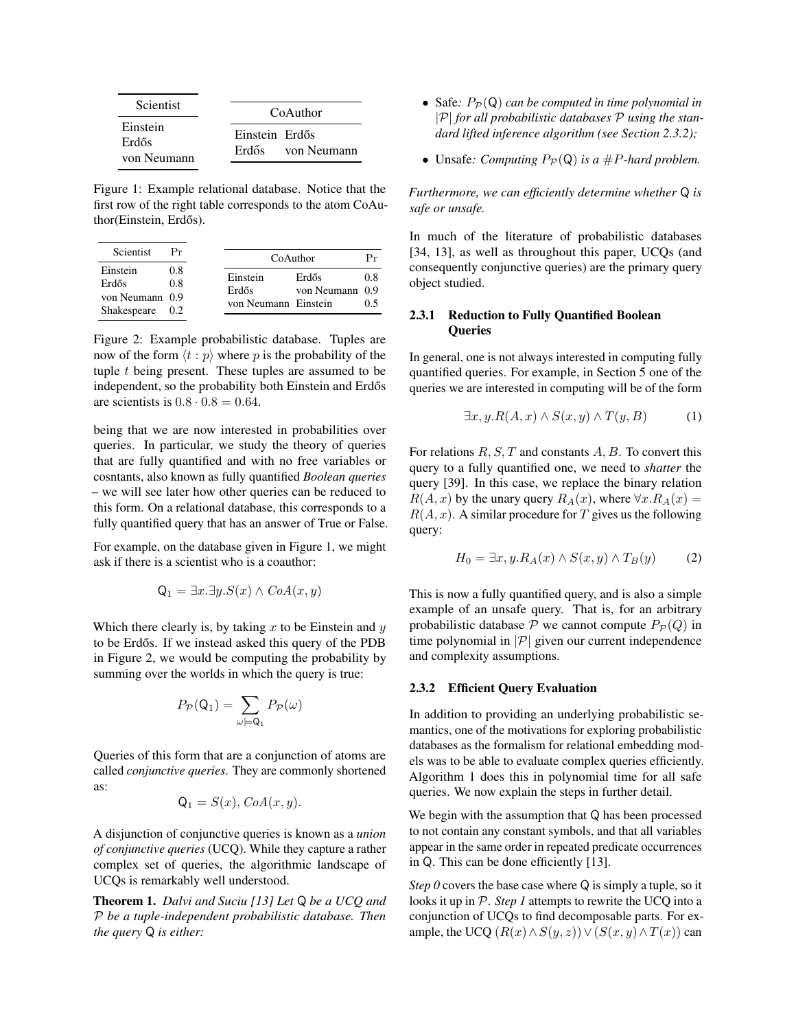| <b>Scientist</b>                 | CoAuthor                            |
|----------------------------------|-------------------------------------|
| Einstein<br>Erdős<br>von Neumann | Einstein Erdős<br>Erdős von Neumann |

Figure 1: Example relational database. Notice that the first row of the right table corresponds to the atom CoAuthor(Einstein, Erdős).

| Scientist                                           |                   |                                           | CoAuthor                 | Рr         |
|-----------------------------------------------------|-------------------|-------------------------------------------|--------------------------|------------|
| Einstein<br>Erdős<br>von Neumann 0.9<br>Shakespeare | 0.8<br>0.8<br>0.2 | Einstein<br>Erdős<br>von Neumann Einstein | Erdős<br>von Neumann 0.9 | 0.8<br>0.5 |

Figure 2: Example probabilistic database. Tuples are now of the form  $\langle t : p \rangle$  where p is the probability of the tuple  $t$  being present. These tuples are assumed to be independent, so the probability both Einstein and Erdős are scientists is  $0.8 \cdot 0.8 = 0.64$ .

being that we are now interested in probabilities over queries. In particular, we study the theory of queries that are fully quantified and with no free variables or cosntants, also known as fully quantified *Boolean queries* – we will see later how other queries can be reduced to this form. On a relational database, this corresponds to a fully quantified query that has an answer of True or False.

For example, on the database given in Figure 1, we might ask if there is a scientist who is a coauthor:

$$
Q_1 = \exists x. \exists y. S(x) \land CoA(x, y)
$$

Which there clearly is, by taking  $x$  to be Einstein and  $y$ to be Erdős. If we instead asked this query of the PDB in Figure 2, we would be computing the probability by summing over the worlds in which the query is true:

$$
P_{\mathcal{P}}(\mathsf{Q}_1) = \sum_{\omega \models \mathsf{Q}_1} P_{\mathcal{P}}(\omega)
$$

Queries of this form that are a conjunction of atoms are called *conjunctive queries*. They are commonly shortened as:

$$
Q_1 = S(x), CoA(x, y).
$$

A disjunction of conjunctive queries is known as a *union of conjunctive queries* (UCQ). While they capture a rather complex set of queries, the algorithmic landscape of UCQs is remarkably well understood.

Theorem 1. *Dalvi and Suciu [13] Let* Q *be a UCQ and* P *be a tuple-independent probabilistic database. Then the query* Q *is either:*

- Safe:  $P_{\mathcal{P}}(Q)$  *can be computed in time polynomial in* |P| *for all probabilistic databases* P *using the standard lifted inference algorithm (see Section 2.3.2);*
- Unsafe: *Computing*  $P_{\mathcal{P}}(Q)$  *is a #P-hard problem.*

*Furthermore, we can efficiently determine whether* Q *is safe or unsafe.*

In much of the literature of probabilistic databases [34, 13], as well as throughout this paper, UCQs (and consequently conjunctive queries) are the primary query object studied.

## 2.3.1 Reduction to Fully Quantified Boolean **Oueries**

In general, one is not always interested in computing fully quantified queries. For example, in Section 5 one of the queries we are interested in computing will be of the form

$$
\exists x, y. R(A, x) \land S(x, y) \land T(y, B) \tag{1}
$$

For relations  $R, S, T$  and constants  $A, B$ . To convert this query to a fully quantified one, we need to *shatter* the query [39]. In this case, we replace the binary relation  $R(A, x)$  by the unary query  $R_A(x)$ , where  $\forall x. R_A(x) =$  $R(A, x)$ . A similar procedure for T gives us the following query:

$$
H_0 = \exists x, y. R_A(x) \land S(x, y) \land T_B(y) \tag{2}
$$

This is now a fully quantified query, and is also a simple example of an unsafe query. That is, for an arbitrary probabilistic database  $P$  we cannot compute  $P_{\mathcal{P}}(Q)$  in time polynomial in  $|\mathcal{P}|$  given our current independence and complexity assumptions.

#### 2.3.2 Efficient Query Evaluation

In addition to providing an underlying probabilistic semantics, one of the motivations for exploring probabilistic databases as the formalism for relational embedding models was to be able to evaluate complex queries efficiently. Algorithm 1 does this in polynomial time for all safe queries. We now explain the steps in further detail.

We begin with the assumption that Q has been processed to not contain any constant symbols, and that all variables appear in the same order in repeated predicate occurrences in Q. This can be done efficiently [13].

*Step 0* covers the base case where Q is simply a tuple, so it looks it up in P. *Step 1* attempts to rewrite the UCQ into a conjunction of UCQs to find decomposable parts. For example, the UCQ  $(R(x) \wedge S(y, z)) \vee (S(x, y) \wedge T(x))$  can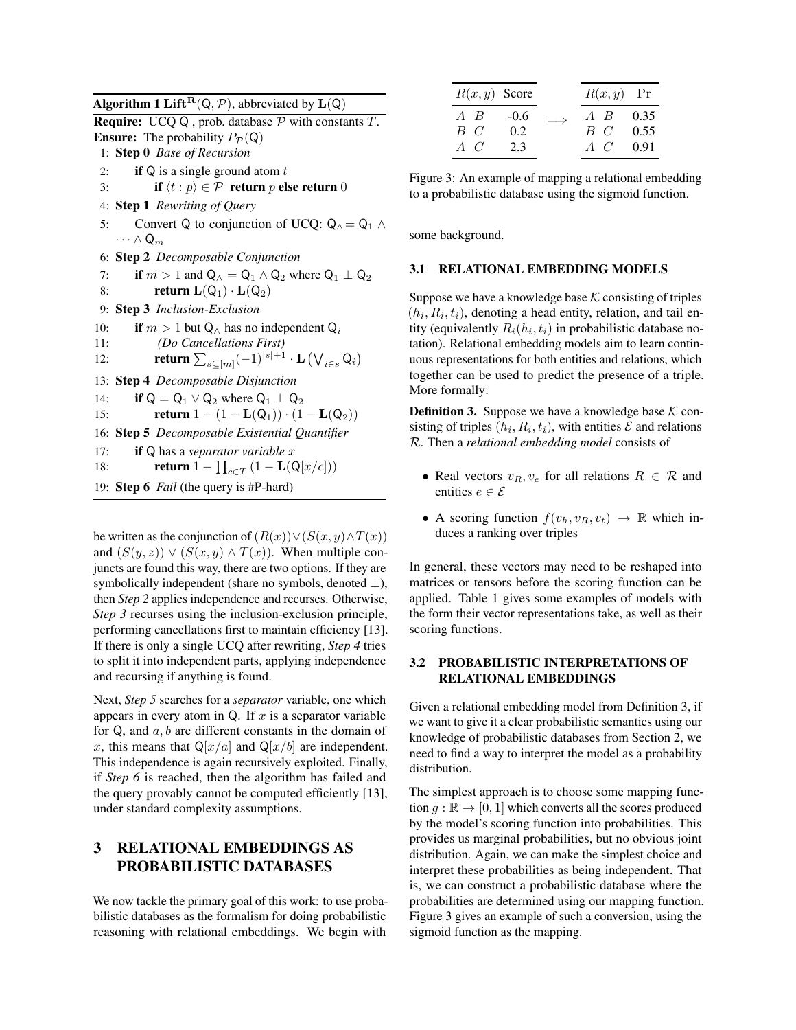Algorithm 1 Lift<sup>R</sup>( $Q, P$ ), abbreviated by  $L(Q)$ 

**Require:** UCQ Q, prob. database  $\mathcal{P}$  with constants  $T$ . **Ensure:** The probability  $P_{\mathcal{P}}(Q)$ 

- 1: Step 0 *Base of Recursion*
- 2: **if**  $Q$  is a single ground atom  $t$
- 3: **if**  $\langle t : p \rangle \in \mathcal{P}$  return p else return 0
- 4: Step 1 *Rewriting of Query*
- 5: Convert Q to conjunction of UCQ:  $Q_0 = Q_1 \wedge$  $\cdots \wedge Q_m$
- 6: Step 2 *Decomposable Conjunction*
- 7: if  $m > 1$  and  $Q_ \wedge = Q_1 \wedge Q_2$  where  $Q_1 \perp Q_2$
- 8: **return**  $L(Q_1) \cdot L(Q_2)$
- 9: Step 3 *Inclusion-Exclusion*

10: if 
$$
m > 1
$$
 but  $Q_{\wedge}$  has no independent  $Q_i$ 

- 11: *(Do Cancellations First)*
- 12: **return**  $\sum_{s \subseteq [m]} (-1)^{|s|+1} \cdot \mathbf{L} (\bigvee_{i \in s} \mathsf{Q}_i)$
- 13: Step 4 *Decomposable Disjunction*

14: if 
$$
Q = Q_1 \vee Q_2
$$
 where  $Q_1 \perp Q_2$ 

15: **return**  $1 - (1 - L(Q_1)) \cdot (1 - L(Q_2))$ 

16: Step 5 *Decomposable Existential Quantifier*

17: if Q has a *separator variable* x

18: **return** 
$$
1 - \prod_{c \in T} (1 - \mathbf{L}(\mathbf{Q}[x/c]))
$$

19: Step 6 *Fail* (the query is #P-hard)

be written as the conjunction of  $(R(x))\vee (S(x, y)\wedge T(x))$ and  $(S(y, z)) \vee (S(x, y) \wedge T(x))$ . When multiple conjuncts are found this way, there are two options. If they are symbolically independent (share no symbols, denoted  $\perp$ ), then *Step 2* applies independence and recurses. Otherwise, *Step 3* recurses using the inclusion-exclusion principle, performing cancellations first to maintain efficiency [13]. If there is only a single UCQ after rewriting, *Step 4* tries to split it into independent parts, applying independence and recursing if anything is found.

Next, *Step 5* searches for a *separator* variable, one which appears in every atom in Q. If  $x$  is a separator variable for  $Q$ , and  $a, b$  are different constants in the domain of x, this means that  $Q[x/a]$  and  $Q[x/b]$  are independent. This independence is again recursively exploited. Finally, if *Step 6* is reached, then the algorithm has failed and the query provably cannot be computed efficiently [13], under standard complexity assumptions.

## 3 RELATIONAL EMBEDDINGS AS PROBABILISTIC DATABASES

We now tackle the primary goal of this work: to use probabilistic databases as the formalism for doing probabilistic reasoning with relational embeddings. We begin with

| $R(x, y)$ Score |        |            | $R(x, y)$ Pr |      |
|-----------------|--------|------------|--------------|------|
| $A$ $B$         | $-0.6$ | $\implies$ | A B          | 0.35 |
| $B\ C$          | 0.2    |            | $B \, C$     | 0.55 |
| A C             | 2.3    |            | $A \, C$     | 0.91 |

Figure 3: An example of mapping a relational embedding to a probabilistic database using the sigmoid function.

some background.

## 3.1 RELATIONAL EMBEDDING MODELS

Suppose we have a knowledge base  $K$  consisting of triples  $(h_i, R_i, t_i)$ , denoting a head entity, relation, and tail entity (equivalently  $R_i(h_i, t_i)$  in probabilistic database notation). Relational embedding models aim to learn continuous representations for both entities and relations, which together can be used to predict the presence of a triple. More formally:

**Definition 3.** Suppose we have a knowledge base  $K$  consisting of triples  $(h_i, R_i, t_i)$ , with entities  $\mathcal E$  and relations R. Then a *relational embedding model* consists of

- Real vectors  $v_R, v_e$  for all relations  $R \in \mathcal{R}$  and entities  $e \in \mathcal{E}$
- A scoring function  $f(v_h, v_R, v_t) \rightarrow \mathbb{R}$  which induces a ranking over triples

In general, these vectors may need to be reshaped into matrices or tensors before the scoring function can be applied. Table 1 gives some examples of models with the form their vector representations take, as well as their scoring functions.

## 3.2 PROBABILISTIC INTERPRETATIONS OF RELATIONAL EMBEDDINGS

Given a relational embedding model from Definition 3, if we want to give it a clear probabilistic semantics using our knowledge of probabilistic databases from Section 2, we need to find a way to interpret the model as a probability distribution.

The simplest approach is to choose some mapping function  $g : \mathbb{R} \to [0, 1]$  which converts all the scores produced by the model's scoring function into probabilities. This provides us marginal probabilities, but no obvious joint distribution. Again, we can make the simplest choice and interpret these probabilities as being independent. That is, we can construct a probabilistic database where the probabilities are determined using our mapping function. Figure 3 gives an example of such a conversion, using the sigmoid function as the mapping.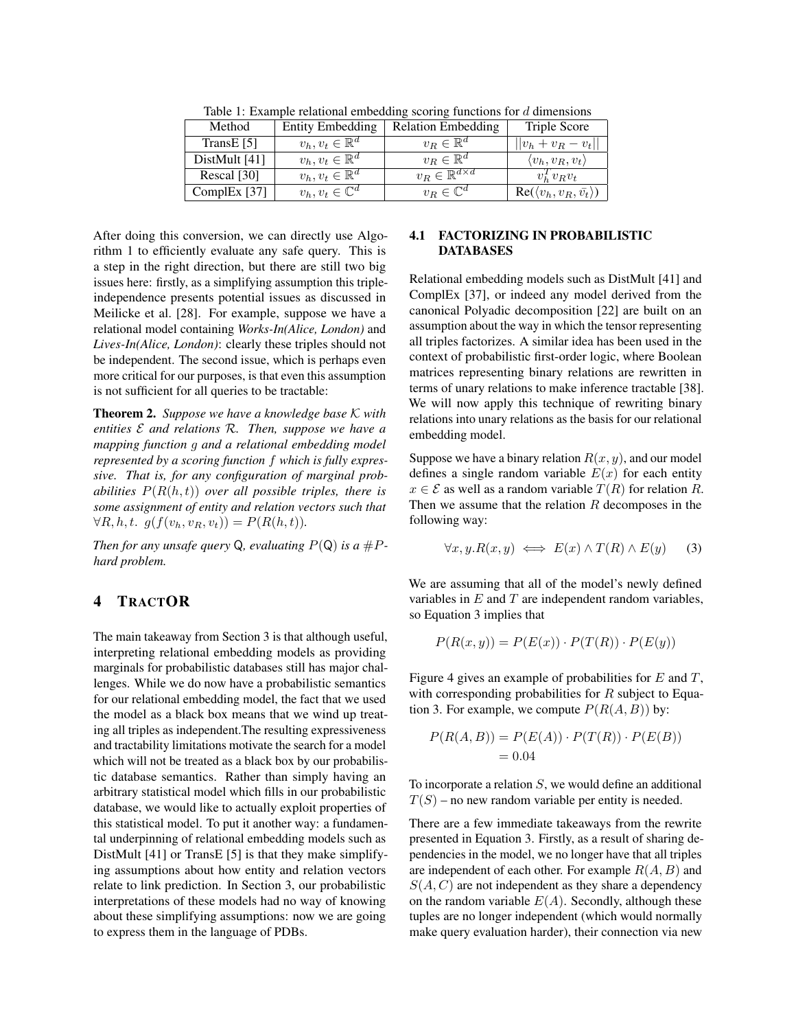| <u>racio il mutulpio reialiciali elliceatuli, secriti, ralieliciis for a allielicits</u> |                             |                                   |                                           |  |
|------------------------------------------------------------------------------------------|-----------------------------|-----------------------------------|-------------------------------------------|--|
| Method                                                                                   | <b>Entity Embedding</b>     | <b>Relation Embedding</b>         | Triple Score                              |  |
| TransE $[5]$                                                                             | $v_h, v_t \in \mathbb{R}^d$ | $v_R \in \mathbb{R}^d$            | $  v_h + v_R - v_t  $                     |  |
| DistMult $[41]$                                                                          | $v_h, v_t \in \mathbb{R}^d$ | $v_R \in \mathbb{R}^d$            | $\langle v_h, v_R, v_t \rangle$           |  |
| Rescal [30]                                                                              | $v_h, v_t \in \mathbb{R}^d$ | $v_R \in \mathbb{R}^{d \times d}$ | $v_h^T v_R v_t$                           |  |
| ComplEx $[37]$                                                                           | $v_h, v_t \in \mathbb{C}^d$ | $v_R \in \mathbb{C}^d$            | $Re(\langle v_h, v_R, \bar{v_t} \rangle)$ |  |

Table 1: Example relational embedding scoring functions for d dimensions

After doing this conversion, we can directly use Algorithm 1 to efficiently evaluate any safe query. This is a step in the right direction, but there are still two big issues here: firstly, as a simplifying assumption this tripleindependence presents potential issues as discussed in Meilicke et al. [28]. For example, suppose we have a relational model containing *Works-In(Alice, London)* and *Lives-In(Alice, London)*: clearly these triples should not be independent. The second issue, which is perhaps even more critical for our purposes, is that even this assumption is not sufficient for all queries to be tractable:

Theorem 2. *Suppose we have a knowledge base* K *with entities* E *and relations* R*. Then, suppose we have a mapping function* g *and a relational embedding model represented by a scoring function* f *which is fully expressive. That is, for any configuration of marginal probabilities*  $P(R(h, t))$  *over all possible triples, there is some assignment of entity and relation vectors such that*  $\forall R, h, t. \; g(f(v_h, v_R, v_t)) = P(R(h, t)).$ 

*Then for any unsafe query*  $Q$ *, evaluating*  $P(Q)$  *is a*  $\#P$ *hard problem.*

## 4 TRACTOR

The main takeaway from Section 3 is that although useful, interpreting relational embedding models as providing marginals for probabilistic databases still has major challenges. While we do now have a probabilistic semantics for our relational embedding model, the fact that we used the model as a black box means that we wind up treating all triples as independent.The resulting expressiveness and tractability limitations motivate the search for a model which will not be treated as a black box by our probabilistic database semantics. Rather than simply having an arbitrary statistical model which fills in our probabilistic database, we would like to actually exploit properties of this statistical model. To put it another way: a fundamental underpinning of relational embedding models such as DistMult [41] or TransE [5] is that they make simplifying assumptions about how entity and relation vectors relate to link prediction. In Section 3, our probabilistic interpretations of these models had no way of knowing about these simplifying assumptions: now we are going to express them in the language of PDBs.

## 4.1 FACTORIZING IN PROBABILISTIC DATABASES

Relational embedding models such as DistMult [41] and ComplEx [37], or indeed any model derived from the canonical Polyadic decomposition [22] are built on an assumption about the way in which the tensor representing all triples factorizes. A similar idea has been used in the context of probabilistic first-order logic, where Boolean matrices representing binary relations are rewritten in terms of unary relations to make inference tractable [38]. We will now apply this technique of rewriting binary relations into unary relations as the basis for our relational embedding model.

Suppose we have a binary relation  $R(x, y)$ , and our model defines a single random variable  $E(x)$  for each entity  $x \in \mathcal{E}$  as well as a random variable  $T(R)$  for relation R. Then we assume that the relation  $R$  decomposes in the following way:

$$
\forall x, y. R(x, y) \iff E(x) \land T(R) \land E(y) \tag{3}
$$

We are assuming that all of the model's newly defined variables in  $E$  and  $T$  are independent random variables, so Equation 3 implies that

$$
P(R(x, y)) = P(E(x)) \cdot P(T(R)) \cdot P(E(y))
$$

Figure 4 gives an example of probabilities for  $E$  and  $T$ , with corresponding probabilities for  $R$  subject to Equation 3. For example, we compute  $P(R(A, B))$  by:

$$
P(R(A, B)) = P(E(A)) \cdot P(T(R)) \cdot P(E(B))
$$
  
= 0.04

To incorporate a relation  $S$ , we would define an additional  $T(S)$  – no new random variable per entity is needed.

There are a few immediate takeaways from the rewrite presented in Equation 3. Firstly, as a result of sharing dependencies in the model, we no longer have that all triples are independent of each other. For example  $R(A, B)$  and  $S(A, C)$  are not independent as they share a dependency on the random variable  $E(A)$ . Secondly, although these tuples are no longer independent (which would normally make query evaluation harder), their connection via new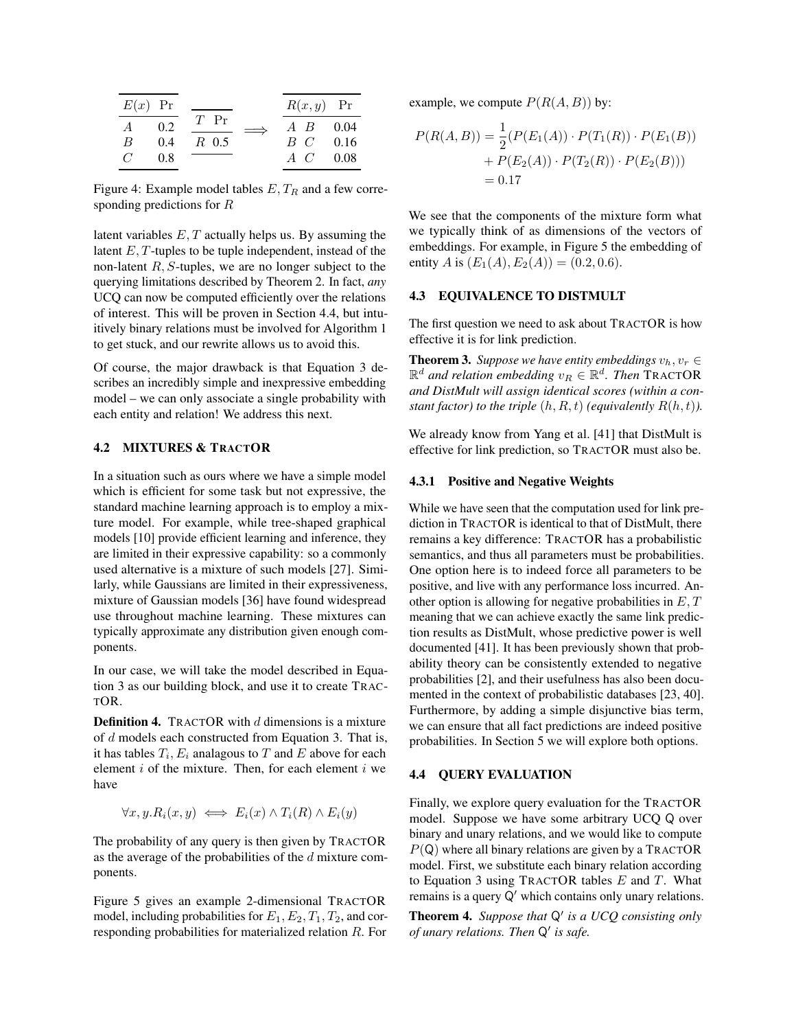| $E(x)$ Pr      |     |        | $R(x, y)$ Pr |      |
|----------------|-----|--------|--------------|------|
| $\overline{A}$ | 0.2 | $T$ Pr | $A$ $B$      | 0.04 |
| B              | 0.4 | R 0.5  | $B$ $C$      | 0.16 |
| $\mathcal{C}$  | 0.8 |        | $A \, C$     | 0.08 |

Figure 4: Example model tables  $E, T_R$  and a few corresponding predictions for R

latent variables  $E, T$  actually helps us. By assuming the latent E, T-tuples to be tuple independent, instead of the non-latent  $R$ ,  $S$ -tuples, we are no longer subject to the querying limitations described by Theorem 2. In fact, *any* UCQ can now be computed efficiently over the relations of interest. This will be proven in Section 4.4, but intuitively binary relations must be involved for Algorithm 1 to get stuck, and our rewrite allows us to avoid this.

Of course, the major drawback is that Equation 3 describes an incredibly simple and inexpressive embedding model – we can only associate a single probability with each entity and relation! We address this next.

## 4.2 MIXTURES & TRACTOR

In a situation such as ours where we have a simple model which is efficient for some task but not expressive, the standard machine learning approach is to employ a mixture model. For example, while tree-shaped graphical models [10] provide efficient learning and inference, they are limited in their expressive capability: so a commonly used alternative is a mixture of such models [27]. Similarly, while Gaussians are limited in their expressiveness, mixture of Gaussian models [36] have found widespread use throughout machine learning. These mixtures can typically approximate any distribution given enough components.

In our case, we will take the model described in Equation 3 as our building block, and use it to create TRAC-TOR.

**Definition 4.** TRACTOR with  $d$  dimensions is a mixture of d models each constructed from Equation 3. That is, it has tables  $T_i, E_i$  analagous to  $T$  and  $E$  above for each element  $i$  of the mixture. Then, for each element  $i$  we have

$$
\forall x, y. R_i(x, y) \iff E_i(x) \land T_i(R) \land E_i(y)
$$

The probability of any query is then given by TRACTOR as the average of the probabilities of the  $d$  mixture components.

Figure 5 gives an example 2-dimensional TRACTOR model, including probabilities for  $E_1, E_2, T_1, T_2$ , and corresponding probabilities for materialized relation R. For example, we compute  $P(R(A, B))$  by:

$$
P(R(A, B)) = \frac{1}{2}(P(E_1(A)) \cdot P(T_1(R)) \cdot P(E_1(B))
$$
  
+  $P(E_2(A)) \cdot P(T_2(R)) \cdot P(E_2(B)))$   
= 0.17

We see that the components of the mixture form what we typically think of as dimensions of the vectors of embeddings. For example, in Figure 5 the embedding of entity A is  $(E_1(A), E_2(A)) = (0.2, 0.6)$ .

## 4.3 EQUIVALENCE TO DISTMULT

The first question we need to ask about TRACTOR is how effective it is for link prediction.

**Theorem 3.** *Suppose we have entity embeddings*  $v_h, v_r \in$  $\mathbb{R}^d$  and relation embedding  $v_R \in \mathbb{R}^d$ . Then TRACTOR *and DistMult will assign identical scores (within a constant factor) to the triple*  $(h, R, t)$  *(equivalently*  $R(h, t)$ *).* 

We already know from Yang et al. [41] that DistMult is effective for link prediction, so TRACTOR must also be.

## 4.3.1 Positive and Negative Weights

While we have seen that the computation used for link prediction in TRACTOR is identical to that of DistMult, there remains a key difference: TRACTOR has a probabilistic semantics, and thus all parameters must be probabilities. One option here is to indeed force all parameters to be positive, and live with any performance loss incurred. Another option is allowing for negative probabilities in  $E, T$ meaning that we can achieve exactly the same link prediction results as DistMult, whose predictive power is well documented [41]. It has been previously shown that probability theory can be consistently extended to negative probabilities [2], and their usefulness has also been documented in the context of probabilistic databases [23, 40]. Furthermore, by adding a simple disjunctive bias term, we can ensure that all fact predictions are indeed positive probabilities. In Section 5 we will explore both options.

#### 4.4 QUERY EVALUATION

Finally, we explore query evaluation for the TRACTOR model. Suppose we have some arbitrary UCQ Q over binary and unary relations, and we would like to compute  $P(Q)$  where all binary relations are given by a TRACTOR model. First, we substitute each binary relation according to Equation 3 using TRACTOR tables  $E$  and  $T$ . What remains is a query  $Q'$  which contains only unary relations.

Theorem 4. Suppose that Q' is a UCQ consisting only *of unary relations. Then*  $Q'$  *is safe.*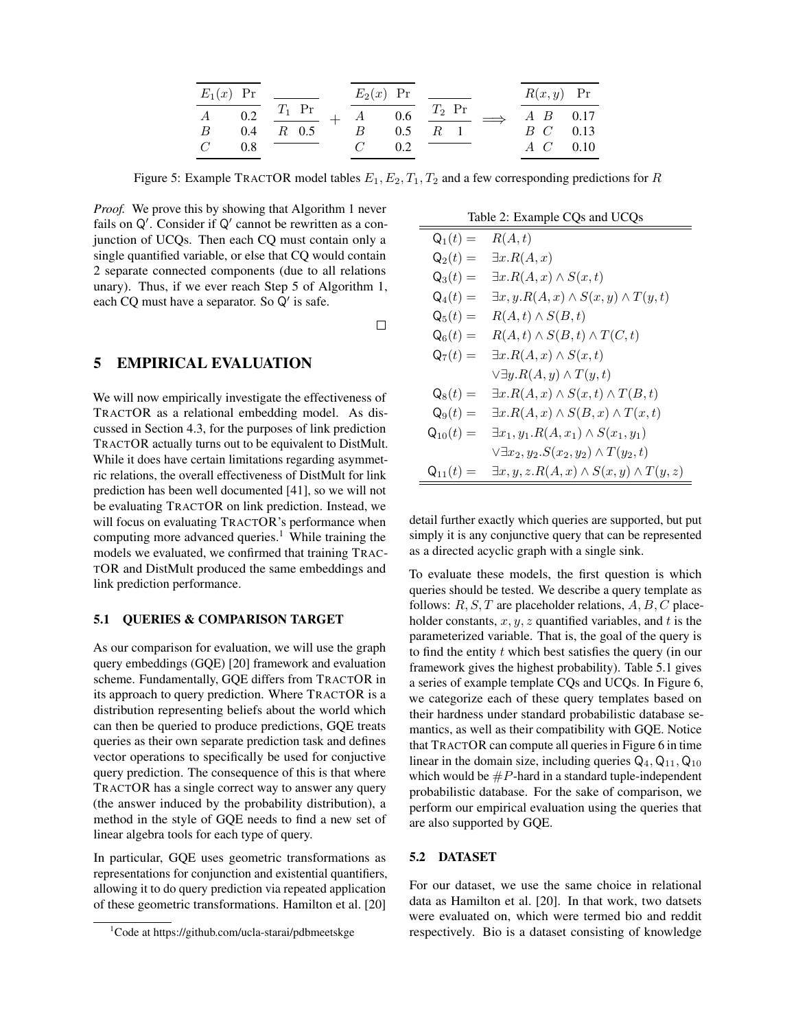|                | $E_1(x)$ Pr |          | $E_2(x)$ Pr |     |                                                | $R(x, y)$ Pr           |  |
|----------------|-------------|----------|-------------|-----|------------------------------------------------|------------------------|--|
| A              | 0.2         | $T_1$ Pr |             |     | $\overline{A}$ 0.6 $\overline{T_2 \text{ Pr}}$ | $A \quad B \quad 0.17$ |  |
| B              | 0.4         | $R$ 0.5  | R           | 0.5 | R <sub>1</sub>                                 | <i>B C</i> 0.13        |  |
| $\overline{C}$ | 0.8         |          |             | 0.2 |                                                | $A \quad C \quad 0.10$ |  |

Figure 5: Example TRACTOR model tables  $E_1, E_2, T_1, T_2$  and a few corresponding predictions for R

*Proof.* We prove this by showing that Algorithm 1 never fails on  $Q'$ . Consider if  $Q'$  cannot be rewritten as a conjunction of UCQs. Then each CQ must contain only a single quantified variable, or else that CQ would contain 2 separate connected components (due to all relations unary). Thus, if we ever reach Step 5 of Algorithm 1, each CQ must have a separator. So  $Q'$  is safe.

 $\Box$ 

## 5 EMPIRICAL EVALUATION

We will now empirically investigate the effectiveness of TRACTOR as a relational embedding model. As discussed in Section 4.3, for the purposes of link prediction TRACTOR actually turns out to be equivalent to DistMult. While it does have certain limitations regarding asymmetric relations, the overall effectiveness of DistMult for link prediction has been well documented [41], so we will not be evaluating TRACTOR on link prediction. Instead, we will focus on evaluating TRACTOR's performance when computing more advanced queries.<sup>1</sup> While training the models we evaluated, we confirmed that training TRAC-TOR and DistMult produced the same embeddings and link prediction performance.

## 5.1 QUERIES & COMPARISON TARGET

As our comparison for evaluation, we will use the graph query embeddings (GQE) [20] framework and evaluation scheme. Fundamentally, GQE differs from TRACTOR in its approach to query prediction. Where TRACTOR is a distribution representing beliefs about the world which can then be queried to produce predictions, GQE treats queries as their own separate prediction task and defines vector operations to specifically be used for conjuctive query prediction. The consequence of this is that where TRACTOR has a single correct way to answer any query (the answer induced by the probability distribution), a method in the style of GQE needs to find a new set of linear algebra tools for each type of query.

In particular, GQE uses geometric transformations as representations for conjunction and existential quantifiers, allowing it to do query prediction via repeated application of these geometric transformations. Hamilton et al. [20]

| Table 2: Example CQs and UCQs |  |  |  |  |
|-------------------------------|--|--|--|--|
|-------------------------------|--|--|--|--|

| $\mathsf{Q}_1(t) =$ | R(A,t)                                                       |
|---------------------|--------------------------------------------------------------|
| $\mathsf{Q}_2(t) =$ | $\exists x.R(A,x)$                                           |
| $\mathsf{Q}_3(t) =$ | $\exists x. R(A,x) \wedge S(x,t)$                            |
| $\mathsf{Q}_4(t) =$ | $\exists x, y. R(A, x) \wedge S(x, y) \wedge T(y, t)$        |
| $\mathsf{Q}_5(t) =$ | $R(A,t) \wedge S(B,t)$                                       |
| $\mathsf{Q}_6(t) =$ | $R(A,t) \wedge S(B,t) \wedge T(C,t)$                         |
| $\mathsf{Q}_7(t) =$ | $\exists x. R(A,x) \wedge S(x,t)$                            |
|                     | $\forall \exists y. R(A, y) \wedge T(y, t)$                  |
| $\mathsf{Q}_8(t) =$ | $\exists x. R(A,x) \wedge S(x,t) \wedge T(B,t)$              |
| $\mathsf{Q}_9(t) =$ | $\exists x. R(A,x) \wedge S(B,x) \wedge T(x,t)$              |
| $Q_{10}(t) =$       | $\exists x_1, y_1.R(A, x_1) \wedge S(x_1, y_1)$              |
|                     | $\vee \exists x_2, y_2.S(x_2,y_2) \wedge T(y_2,t)$           |
| $Q_{11}(t) =$       | $\exists x, y, z \ldotp R(A, x) \land S(x, y) \land T(y, z)$ |

detail further exactly which queries are supported, but put simply it is any conjunctive query that can be represented as a directed acyclic graph with a single sink.

To evaluate these models, the first question is which queries should be tested. We describe a query template as follows:  $R, S, T$  are placeholder relations,  $A, B, C$  placeholder constants,  $x, y, z$  quantified variables, and t is the parameterized variable. That is, the goal of the query is to find the entity  $t$  which best satisfies the query (in our framework gives the highest probability). Table 5.1 gives a series of example template CQs and UCQs. In Figure 6, we categorize each of these query templates based on their hardness under standard probabilistic database semantics, as well as their compatibility with GQE. Notice that TRACTOR can compute all queries in Figure 6 in time linear in the domain size, including queries  $Q_4$ ,  $Q_{11}$ ,  $Q_{10}$ which would be  $\#P$ -hard in a standard tuple-independent probabilistic database. For the sake of comparison, we perform our empirical evaluation using the queries that are also supported by GQE.

#### 5.2 DATASET

For our dataset, we use the same choice in relational data as Hamilton et al. [20]. In that work, two datsets were evaluated on, which were termed bio and reddit respectively. Bio is a dataset consisting of knowledge

 $1$ Code at https://github.com/ucla-starai/pdbmeetskge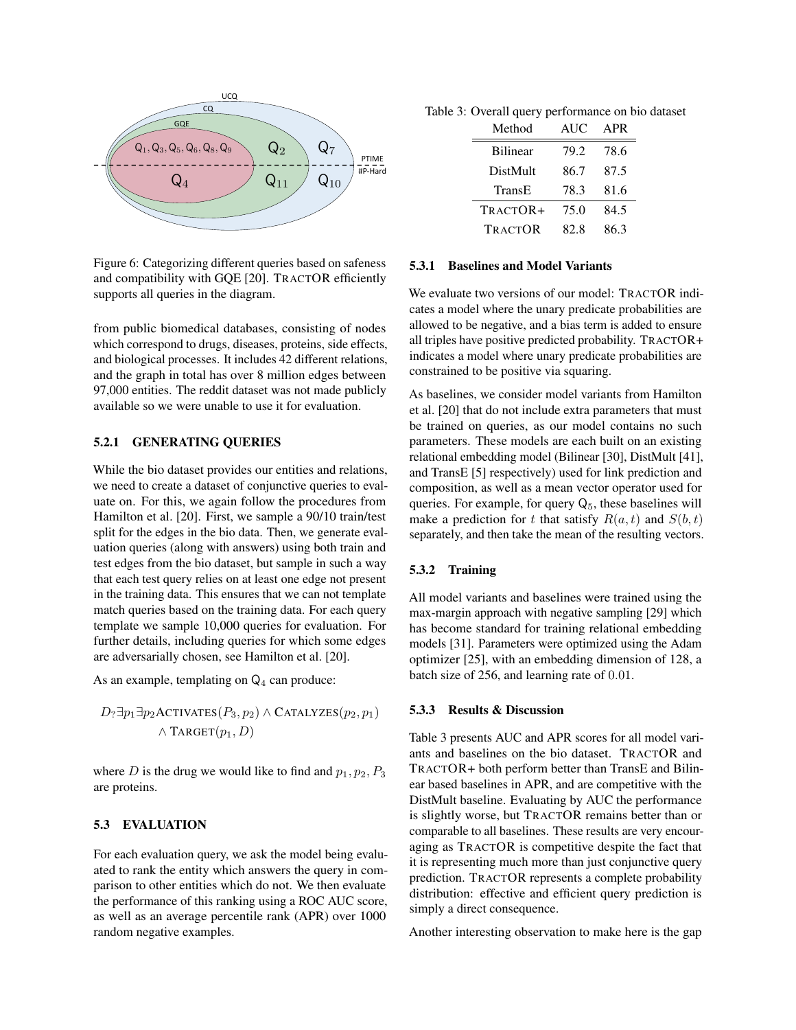

Figure 6: Categorizing different queries based on safeness and compatibility with GQE [20]. TRACTOR efficiently supports all queries in the diagram.

from public biomedical databases, consisting of nodes which correspond to drugs, diseases, proteins, side effects, and biological processes. It includes 42 different relations, and the graph in total has over 8 million edges between 97,000 entities. The reddit dataset was not made publicly available so we were unable to use it for evaluation.

### 5.2.1 GENERATING QUERIES

While the bio dataset provides our entities and relations, we need to create a dataset of conjunctive queries to evaluate on. For this, we again follow the procedures from Hamilton et al. [20]. First, we sample a 90/10 train/test split for the edges in the bio data. Then, we generate evaluation queries (along with answers) using both train and test edges from the bio dataset, but sample in such a way that each test query relies on at least one edge not present in the training data. This ensures that we can not template match queries based on the training data. For each query template we sample 10,000 queries for evaluation. For further details, including queries for which some edges are adversarially chosen, see Hamilton et al. [20].

As an example, templating on  $Q_4$  can produce:

$$
D_?\exists p_1 \exists p_2 \text{ACTIVATES}(P_3, p_2) \land \text{CATALYZES}(p_2, p_1) \land \text{TARGET}(p_1, D)
$$

where D is the drug we would like to find and  $p_1, p_2, P_3$ are proteins.

#### 5.3 EVALUATION

For each evaluation query, we ask the model being evaluated to rank the entity which answers the query in comparison to other entities which do not. We then evaluate the performance of this ranking using a ROC AUC score, as well as an average percentile rank (APR) over 1000 random negative examples.

Table 3: Overall query performance on bio dataset

| Method          | <b>AUC</b> | APR  |
|-----------------|------------|------|
| <b>Bilinear</b> | 79.2       | 78.6 |
| DistMult        | 86.7       | 87.5 |
| TransE          | 78.3       | 81.6 |
| TRACTOR+        | 75.0       | 84.5 |
| <b>TRACTOR</b>  | 82.8       | 86.3 |

### 5.3.1 Baselines and Model Variants

We evaluate two versions of our model: TRACTOR indicates a model where the unary predicate probabilities are allowed to be negative, and a bias term is added to ensure all triples have positive predicted probability. TRACTOR+ indicates a model where unary predicate probabilities are constrained to be positive via squaring.

As baselines, we consider model variants from Hamilton et al. [20] that do not include extra parameters that must be trained on queries, as our model contains no such parameters. These models are each built on an existing relational embedding model (Bilinear [30], DistMult [41], and TransE [5] respectively) used for link prediction and composition, as well as a mean vector operator used for queries. For example, for query  $Q_5$ , these baselines will make a prediction for t that satisfy  $R(a, t)$  and  $S(b, t)$ separately, and then take the mean of the resulting vectors.

### 5.3.2 Training

All model variants and baselines were trained using the max-margin approach with negative sampling [29] which has become standard for training relational embedding models [31]. Parameters were optimized using the Adam optimizer [25], with an embedding dimension of 128, a batch size of 256, and learning rate of 0.01.

#### 5.3.3 Results & Discussion

Table 3 presents AUC and APR scores for all model variants and baselines on the bio dataset. TRACTOR and TRACTOR+ both perform better than TransE and Bilinear based baselines in APR, and are competitive with the DistMult baseline. Evaluating by AUC the performance is slightly worse, but TRACTOR remains better than or comparable to all baselines. These results are very encouraging as TRACTOR is competitive despite the fact that it is representing much more than just conjunctive query prediction. TRACTOR represents a complete probability distribution: effective and efficient query prediction is simply a direct consequence.

Another interesting observation to make here is the gap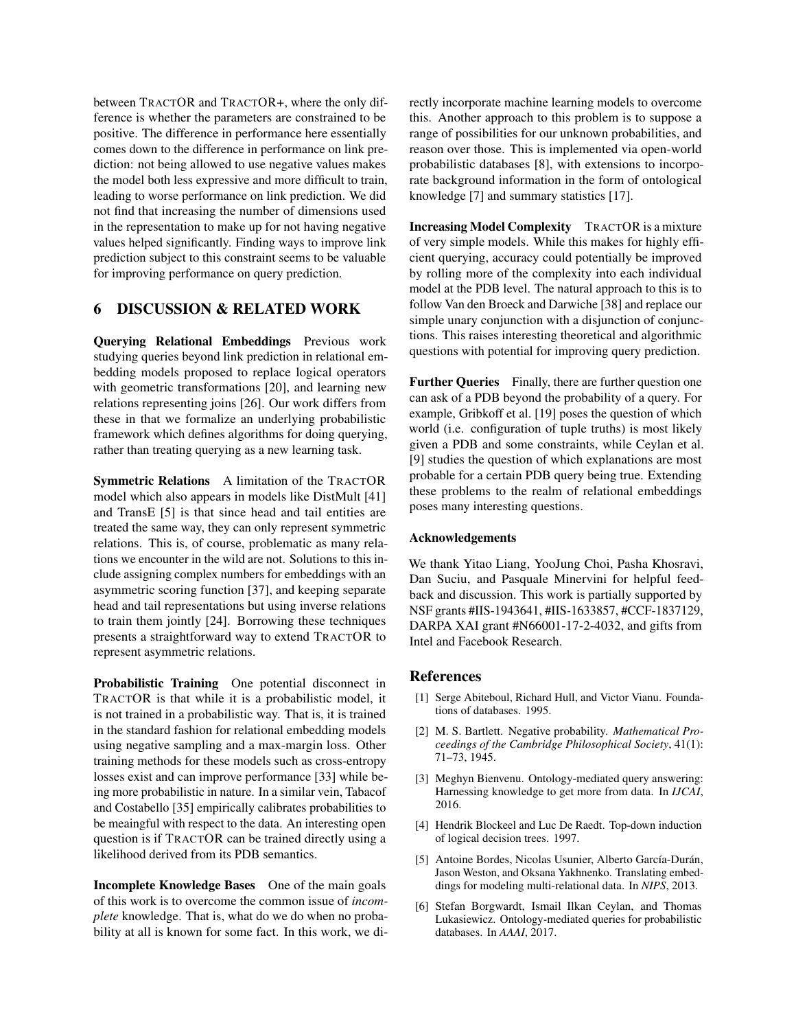between TRACTOR and TRACTOR+, where the only difference is whether the parameters are constrained to be positive. The difference in performance here essentially comes down to the difference in performance on link prediction: not being allowed to use negative values makes the model both less expressive and more difficult to train, leading to worse performance on link prediction. We did not find that increasing the number of dimensions used in the representation to make up for not having negative values helped significantly. Finding ways to improve link prediction subject to this constraint seems to be valuable for improving performance on query prediction.

## 6 DISCUSSION & RELATED WORK

Querying Relational Embeddings Previous work studying queries beyond link prediction in relational embedding models proposed to replace logical operators with geometric transformations [20], and learning new relations representing joins [26]. Our work differs from these in that we formalize an underlying probabilistic framework which defines algorithms for doing querying, rather than treating querying as a new learning task.

Symmetric Relations A limitation of the TRACTOR model which also appears in models like DistMult [41] and TransE [5] is that since head and tail entities are treated the same way, they can only represent symmetric relations. This is, of course, problematic as many relations we encounter in the wild are not. Solutions to this include assigning complex numbers for embeddings with an asymmetric scoring function [37], and keeping separate head and tail representations but using inverse relations to train them jointly [24]. Borrowing these techniques presents a straightforward way to extend TRACTOR to represent asymmetric relations.

Probabilistic Training One potential disconnect in TRACTOR is that while it is a probabilistic model, it is not trained in a probabilistic way. That is, it is trained in the standard fashion for relational embedding models using negative sampling and a max-margin loss. Other training methods for these models such as cross-entropy losses exist and can improve performance [33] while being more probabilistic in nature. In a similar vein, Tabacof and Costabello [35] empirically calibrates probabilities to be meaingful with respect to the data. An interesting open question is if TRACTOR can be trained directly using a likelihood derived from its PDB semantics.

Incomplete Knowledge Bases One of the main goals of this work is to overcome the common issue of *incomplete* knowledge. That is, what do we do when no probability at all is known for some fact. In this work, we directly incorporate machine learning models to overcome this. Another approach to this problem is to suppose a range of possibilities for our unknown probabilities, and reason over those. This is implemented via open-world probabilistic databases [8], with extensions to incorporate background information in the form of ontological knowledge [7] and summary statistics [17].

Increasing Model Complexity TRACTOR is a mixture of very simple models. While this makes for highly efficient querying, accuracy could potentially be improved by rolling more of the complexity into each individual model at the PDB level. The natural approach to this is to follow Van den Broeck and Darwiche [38] and replace our simple unary conjunction with a disjunction of conjunctions. This raises interesting theoretical and algorithmic questions with potential for improving query prediction.

Further Queries Finally, there are further question one can ask of a PDB beyond the probability of a query. For example, Gribkoff et al. [19] poses the question of which world (i.e. configuration of tuple truths) is most likely given a PDB and some constraints, while Ceylan et al. [9] studies the question of which explanations are most probable for a certain PDB query being true. Extending these problems to the realm of relational embeddings poses many interesting questions.

## Acknowledgements

We thank Yitao Liang, YooJung Choi, Pasha Khosravi, Dan Suciu, and Pasquale Minervini for helpful feedback and discussion. This work is partially supported by NSF grants #IIS-1943641, #IIS-1633857, #CCF-1837129, DARPA XAI grant #N66001-17-2-4032, and gifts from Intel and Facebook Research.

## References

- [1] Serge Abiteboul, Richard Hull, and Victor Vianu. Foundations of databases. 1995.
- [2] M. S. Bartlett. Negative probability. *Mathematical Proceedings of the Cambridge Philosophical Society*, 41(1): 71–73, 1945.
- [3] Meghyn Bienvenu. Ontology-mediated query answering: Harnessing knowledge to get more from data. In *IJCAI*, 2016.
- [4] Hendrik Blockeel and Luc De Raedt. Top-down induction of logical decision trees. 1997.
- [5] Antoine Bordes, Nicolas Usunier, Alberto García-Durán, Jason Weston, and Oksana Yakhnenko. Translating embeddings for modeling multi-relational data. In *NIPS*, 2013.
- [6] Stefan Borgwardt, Ismail Ilkan Ceylan, and Thomas Lukasiewicz. Ontology-mediated queries for probabilistic databases. In *AAAI*, 2017.